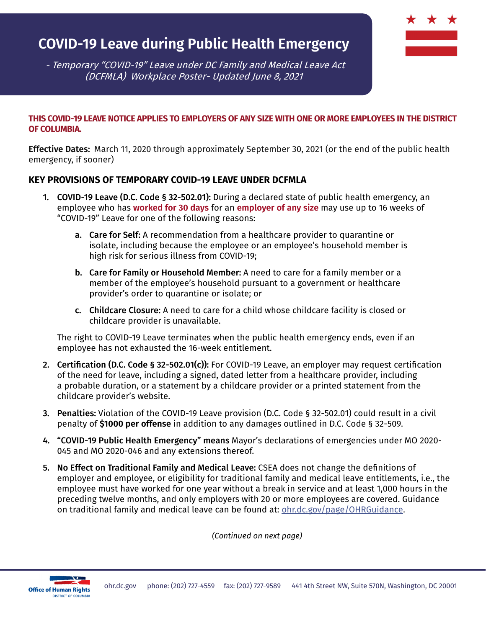# **COVID-19 Leave during Public Health Emergency**

 - Temporary "COVID-19" Leave under DC Family and Medical Leave Act (DCFMLA) Workplace Poster- Updated June 8, 2021

#### **THIS COVID-19 LEAVE NOTICE APPLIES TO EMPLOYERS OF ANY SIZE WITH ONE OR MORE EMPLOYEES IN THE DISTRICT OF COLUMBIA.**

**Effective Dates:** March 11, 2020 through approximately September 30, 2021 (or the end of the public health emergency, if sooner)

#### **KEY PROVISIONS OF TEMPORARY COVID-19 LEAVE UNDER DCFMLA**

- 1. COVID-19 Leave (D.C. Code § 32-502.01): During a declared state of public health emergency, an employee who has **worked for 30 days** for an **employer of any size** may use up to 16 weeks of "COVID-19" Leave for one of the following reasons:
	- a. Care for Self: A recommendation from a healthcare provider to quarantine or isolate, including because the employee or an employee's household member is high risk for serious illness from COVID-19;
	- b. Care for Family or Household Member: A need to care for a family member or a member of the employee's household pursuant to a government or healthcare provider's order to quarantine or isolate; or
	- c. Childcare Closure: A need to care for a child whose childcare facility is closed or childcare provider is unavailable.

The right to COVID-19 Leave terminates when the public health emergency ends, even if an employee has not exhausted the 16-week entitlement.

- 2. Certification (D.C. Code § 32-502.01(c)): For COVID-19 Leave, an employer may request certification of the need for leave, including a signed, dated letter from a healthcare provider, including a probable duration, or a statement by a childcare provider or a printed statement from the childcare provider's website.
- 3. Penalties: Violation of the COVID-19 Leave provision (D.C. Code § 32-502.01) could result in a civil penalty of **\$1000 per offense** in addition to any damages outlined in D.C. Code § 32-509.
- 4. "COVID-19 Public Health Emergency" means Mayor's declarations of emergencies under MO 2020- 045 and MO 2020-046 and any extensions thereof.
- 5. No Effect on Traditional Family and Medical Leave: CSEA does not change the definitions of employer and employee, or eligibility for traditional family and medical leave entitlements, i.e., the employee must have worked for one year without a break in service and at least 1,000 hours in the preceding twelve months, and only employers with 20 or more employees are covered. Guidance on traditional family and medical leave can be found at: [ohr.dc.gov/page/OHRGuidance](http://ohr.dc.gov/page/OHRGuidance).

*(Continued on next page)*